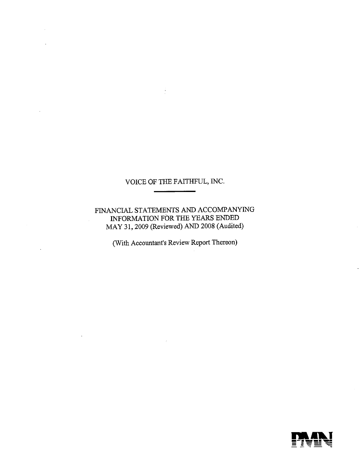FINANCIAL STATEMENTS AND ACCOMPANYING INFORMATION FOR THE YEARS ENDED MAY 31, 2009 (Reviewed) AND 2008 (Audited)

(With Accountant's Review Report Thereon)

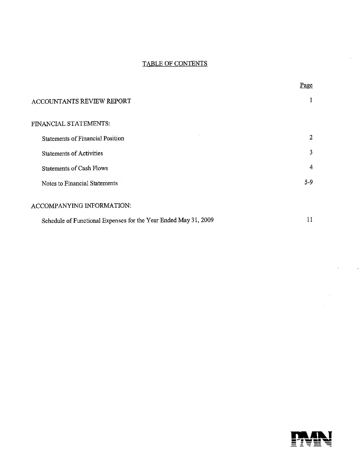# TABLE OF CONTENTS

|                                                                 | Page    |  |
|-----------------------------------------------------------------|---------|--|
| ACCOUNTANTS REVIEW REPORT                                       |         |  |
| FINANCIAL STATEMENTS:                                           |         |  |
| <b>Statements of Financial Position</b>                         | 2       |  |
| <b>Statements of Activities</b>                                 | 3       |  |
| <b>Statements of Cash Flows</b>                                 | 4       |  |
| Notes to Financial Statements                                   | $5 - 9$ |  |
| ACCOMPANYING INFORMATION:                                       |         |  |
| Schedule of Functional Expenses for the Year Ended May 31, 2009 | 11      |  |



 $\epsilon$ 

 $\mathbf{v}$ 

 $\bar{z}$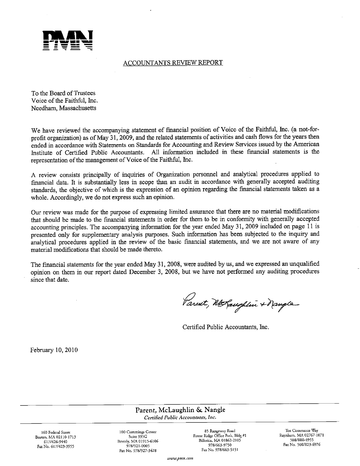

# **ACCOUNTANTS REVIEW REPORT**

To the Board of Trustees Voice of the Faithful, Inc. Needham, Massachusetts

We have reviewed the accompanying statement of financial position of Voice of the Faithful, Inc. (a not-forprofit organization) as of May 31, 2009, and the related statements of activities and cash flows for the years then ended in accordance with Statements on Standards for Accounting and Review Services issued by the American Institute of Certified Public Accountants. All information included in these fmancial statements is the representation of the management of Voice of the Faithful, Inc.

A review consists principally of inquiries of Organization personnel and analytical procedures applied to financial data. It is substantially less in scope than an audit in accordance with generally accepted auditing standards, the objective of which is the expression of an opinion regarding the fmancial statements taken as <sup>a</sup>whole. Accordingly, we do not express such an opinion.

Our review was made for the purpose of expressing limited assurance that there are no material modifications that should be made to the financial statements in order for them to be in conformity with generally accepted accounting principles. The accompanying information for the year ended May 31, 2009 included on page 11 is presented only for supplementary analysis purposes. Such information has been subjected to the inquiry and analytical procedures applied in the review of the basic financial statements, and we are not aware of any material modifications that should be made thereto.

The financial statements for the year ended May 31, 2008, were audited by us, and we expressed an unqualified opinion on them in our report dated December 3, 2008, but we have not performed any auditing procedures since that date.

Varent, McLaughlin + Nangle

Certified Public Accountants, Inc.

February 10, 2010

Parent, McLaughlin & Nangle Certified Public Accountants, inc.

Boston, MA 02110-1713 Fax No. 617/423-3955

160 Federal Street 100 Cummings Center 6171426-9440 Beverly, MA 01915-6106 Fax No. 978/927-3428

Forest Ridge Office Park, Bldg #1 Raynham, MA 02767<br>Billerica, MA 01862-2105<br>508/880-4955-107 Billerica, MA 01862-2105 Fax No. 978/663-5151

85 Rangeway Road Ten Commerce Way<br>Ridge Office Park, Bldg #1 Raynham, MA 02767-1071 978/663-9750 Fax No. 508/823.6976

www.pmn.com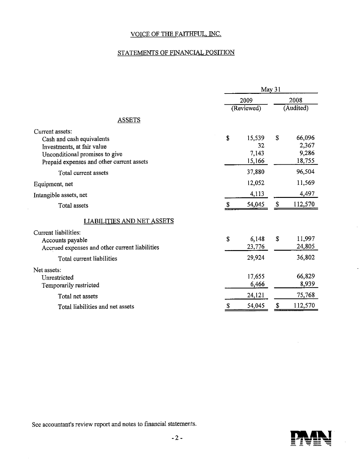# STATEMENTS OF FINANCIAL POSITION

|                                                                                                                                                           |            | May 31                               |                                    |
|-----------------------------------------------------------------------------------------------------------------------------------------------------------|------------|--------------------------------------|------------------------------------|
|                                                                                                                                                           | 2009       |                                      | 2008                               |
|                                                                                                                                                           | (Reviewed) |                                      | (Audited)                          |
| <b>ASSETS</b>                                                                                                                                             |            |                                      |                                    |
| Current assets:<br>Cash and cash equivalents<br>Investments, at fair value<br>Unconditional promises to give<br>Prepaid expenses and other current assets | \$         | 15,539<br>S<br>32<br>7,143<br>15,166 | 66,096<br>2,367<br>9,286<br>18,755 |
| Total current assets                                                                                                                                      |            | 37,880                               | 96,504                             |
| Equipment, net                                                                                                                                            |            | 12,052                               | 11,569                             |
| Intangible assets, net                                                                                                                                    |            | 4,113                                | 4,497                              |
| Total assets                                                                                                                                              | S          | \$<br>54,045                         | 112,570                            |
| LIABILITIES AND NET <u>ASSETS</u>                                                                                                                         |            |                                      |                                    |
| Current liabilities:<br>Accounts payable<br>Accrued expenses and other current liabilities                                                                | \$         | S<br>6,148<br>23,776                 | 11,997<br>24,805                   |
| Total current liabilities                                                                                                                                 |            | 29,924                               | 36,802                             |
| Net assets:<br>Unrestricted<br>Temporarily restricted                                                                                                     |            | 17,655<br>6,466                      | 66,829<br>8,939                    |
| Total net assets                                                                                                                                          |            | 24,121                               | 75,768                             |
| Total liabilities and net assets                                                                                                                          | S          | S<br>54,045                          | 112,570                            |

See accountant's review report and notes to financial statements.

 $\mathbb{Z}^2$ 



 $\bar{z}$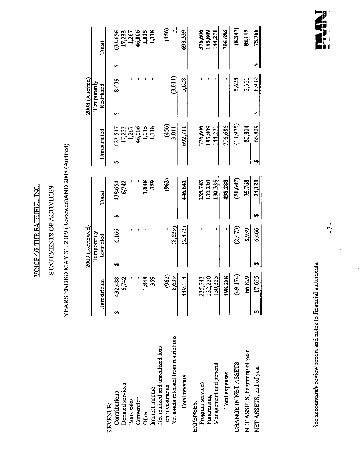VOICE OF THE FAITHFUL, INC. VOICE OF ThE FAITHFUL INC.

 $\hat{\boldsymbol{\beta}}$ 

# STATEMENTS OF ACTIVITIES STATEMENTS OF ACTIVITIES

# YEARS ENDED MAY 31, 2009 (Reviewed) AND 2008 (Audited) YEARS ENDED MAY 31 2009 (Reviewed)AND 2008 (Audited)

|                                       |    |                        |   | 2009 (Reviewed)           |     |          |      |                          |   | 2008 (Audited)            |    |                          |
|---------------------------------------|----|------------------------|---|---------------------------|-----|----------|------|--------------------------|---|---------------------------|----|--------------------------|
|                                       |    | Unrestricted           |   | Temporarily<br>Restricted |     | Total    |      | Unrestricted             |   | Temporarily<br>Restricted |    | Total                    |
| REVENUE:                              |    |                        |   |                           |     |          |      |                          |   |                           |    |                          |
| Contributions                         | မာ | 432,488                | ⊷ | 6,166                     | GA, | 438,654  | မာ   | 623,517                  | ⊷ | 8,639                     | Ð  | 632,156                  |
| Donated services                      |    | ,742                   |   |                           |     | 6,742    |      | 17,233                   |   |                           |    | 17,233                   |
| <b>Book</b> sales                     |    |                        |   |                           |     |          |      | 1,267                    |   |                           |    | 1,267                    |
| Convention                            |    |                        |   |                           |     |          |      |                          |   |                           |    |                          |
| Other                                 |    | 848                    |   |                           |     | 1,848    |      | 46,006<br>1,015<br>1,118 |   |                           |    | 46,006<br>1,015<br>1,118 |
| Interest income                       |    | 359                    |   |                           |     | 359      |      |                          |   |                           |    |                          |
| Net realized and unrealized loss      |    |                        |   |                           |     |          |      |                          |   |                           |    |                          |
| on investments                        |    | (962)                  |   |                           |     | (962)    |      |                          |   |                           |    | (456)                    |
| Net assets released from restrictions |    | 8,639                  |   | (8,639)                   |     |          |      | $(456)$<br>$3.011$       |   | (3,011)                   |    |                          |
| Total revenue                         |    | 449,114                |   | (2, 473)                  |     | 446,641  |      | 692,711                  |   | 5.628                     |    | 698,339                  |
| EXPENSES:                             |    |                        |   |                           |     |          |      |                          |   |                           |    |                          |
| Program services                      |    | .743<br>235            |   |                           |     | 235,743  |      | 376,606                  |   |                           |    | 376,606                  |
| Fundraising                           |    | 132,220                |   |                           |     | 132,220  |      | 185,809                  |   |                           |    | 185,809                  |
| Management and general                |    | 1325<br>$\frac{50}{2}$ |   |                           |     | 130,325  |      | 144,271                  |   |                           |    | 144,271                  |
| Total expenses                        |    | 498,288                |   |                           |     | 498,288  |      | 706,686                  |   |                           |    | 706,686                  |
| CHANGE IN NET ASSETS                  |    | (49,174)               |   | (2, 473)                  |     | (51,647) |      | (13,975)                 |   | 5,628                     |    | (8,347)                  |
| NET ASSETS, beginning of year         |    | 66,829                 |   | 8,939                     |     | 75,768   |      | 80,804                   |   | 3,311                     |    | 84,115                   |
| NET ASSETS, end of year               |    | 17,655                 | ↔ | 6,466                     | œ   | 24,121   | 6A I | 66,829                   |   | 8,939                     | မျ | 75,768                   |
|                                       |    |                        |   |                           |     |          |      |                          |   |                           |    |                          |

See accountant's review report and notes to financial statements. See accountant's review report and notes to financial statements.



 $\frac{1}{\sqrt{2}}$ 

-3

 $\ddot{\phantom{a}}$ 

 $\ddot{\phantom{0}}$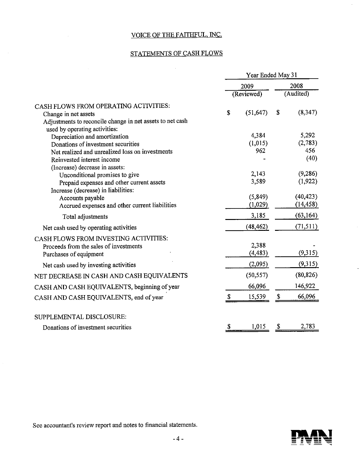# STATEMENTS OF CASH FLOWS

 $\sim$ 

 $\bar{\mathcal{A}}$ 

|                                                                    |               | Year Ended May 31 |                |
|--------------------------------------------------------------------|---------------|-------------------|----------------|
|                                                                    |               | 2009              | 2008           |
|                                                                    |               | (Reviewed)        | (Audited)      |
| CASH FLOWS FROM OPERATING ACTIVITIES:                              |               |                   |                |
| Change in net assets                                               | S             | (51, 647)         | \$<br>(8, 347) |
| Adjustments to reconcile change in net assets to net cash          |               |                   |                |
| used by operating activities:                                      |               | 4,384             | 5,292          |
| Depreciation and amortization                                      |               |                   | (2,783)        |
| Donations of investment securities                                 |               | (1,015)<br>962    | 456            |
| Net realized and unrealized loss on investments                    |               |                   | (40)           |
| Reinvested interest income                                         |               |                   |                |
| (Increase) decrease in assets:                                     |               | 2,143             | (9,286)        |
| Unconditional promises to give                                     |               | 3,589             | (1, 922)       |
| Prepaid expenses and other current assets                          |               |                   |                |
| Increase (decrease) in liabilities:                                |               | (5, 849)          | (40, 423)      |
| Accounts payable<br>Accrued expenses and other current liabilities |               | (1,029)           | (14, 458)      |
|                                                                    |               |                   |                |
| Total adjustments                                                  |               | 3,185             | (63, 164)      |
| Net cash used by operating activities                              |               | (48, 462)         | (71, 511)      |
| CASH FLOWS FROM INVESTING ACTIVITIES:                              |               |                   |                |
| Proceeds from the sales of investments                             |               | 2,388             |                |
| Purchases of equipment                                             |               | (4, 483)          | (9,315)        |
| Net cash used by investing activities                              |               | (2,095)           | (9,315)        |
| NET DECREASE IN CASH AND CASH EQUIVALENTS                          |               | (50, 557)         | (80, 826)      |
| CASH AND CASH EQUIVALENTS, beginning of year                       |               | 66,096            | 146,922        |
| CASH AND CASH EQUIVALENTS, end of year                             | <sup>\$</sup> | 15,539            | \$<br>66,096   |
|                                                                    |               |                   |                |
| SUPPLEMENTAL DISCLOSURE:                                           |               |                   |                |
| Donations of investment securities                                 | S             | 1,015             | \$<br>2,783    |
|                                                                    |               |                   |                |

See accountant's review report and notes to financial statements.



 $\mathcal{A}^{\pm}$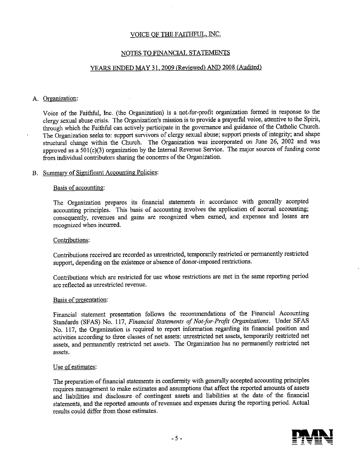#### NOTES TO FINANCIAL STATEMENTS

# YEARS ENDED MAY 31, 2009 (Reviewed) AND 2008 (Audited)

#### A. Organization:

 $\lambda$ 

Voice of the Faithful, Inc. (the Organization) is a not-for-profit organization formed in response to the clergy sexual abuse crisis. The Organization's mission is to provide a prayerful voice, attentive to the Spirit, through which the Faithful can actively participate in the governance and guidance of the Catholic Church. The Organization seeks to: support survivors of clergy sexual abuse; support priests of integrity; and shape structural change within the Church. The Organization was incorporated on June 26, 2002 and was approved as a 501(c)(3) organization by the Internal Revenue Service. The major sources of funding come from individual contributors sharing the concerns of the Organization.

#### B. Summary of Significant Accounting Policies:

#### Basis of accounting:

The Organization prepares its financial statements in accordance with generally accepted accounting principles. This basis of accounting involves the application of accrual accounting; consequently, revenues and gains are recognized when earned, and expenses and losses are recognized when incurred.

#### Contributions:

Contributions received are recorded as unrestricted, temporarily restricted or permanently restricted support, depending on the existence or absence of donor-imposed restrictions.

Contributions which are restricted for use whose restrictions are met in the same reporting period are reflected as unrestricted revenue.

#### Basis of presentation:

Financial statement presentation follows the recommendations of the Financial Accounting Standards (SFAS) No. 117, Financial Statements of Not-for-Profit Organizations. Under SFAS No. 117, the Organization is required to report information regarding its financial position and activities according to three classes of net assets: unrestricted net assets, temporarily restricted net assets, and permanently restricted net assets. The Organization has no permanently restricted net assets.

#### Use of estimates:

The preparation of financial statements in conformity with generally accepted accounting principles requires management to make estimates and assumptions that affect the reported amounts of assets and liabilities and disclosure of contingent assets and liabilities at the date of the financial statements, and the reported amounts of revenues and expenses during the reporting period. Actual results could differ from those estimates.

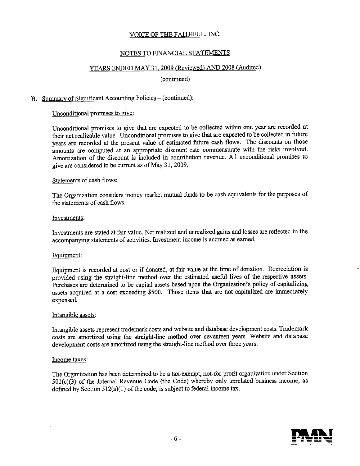#### NOTES TO FINANCIAL STATEMENTS

#### YEARS ENDED MAY 31, 2009 (Reviewed) AND 2008 (Audited)

(continued)

#### B. Summary of Significant Accounting Policies - (continued):

#### Unconditional promises to give:

Unconditional promises to give that are expected to be collected within one year are recorded at their net realizable value. Unconditional promises to give that are expected to be collected in future years are recorded at the present value of estimated future cash flows. The discounts on those amounts are computed at an appropriate discount rate commensurate with the risks involved. Amortization of the discount is included in contribution revenue. All unconditional promises to give are considered to be current as of May 31, 2009.

#### Statements of cash flows:

The Organization considers money market mutual funds to be cash equivalents for the purposes of the statements of cash flows.

#### Investments:

Investments are stated at fair value. Net realized and unrealized gains and losses are reflected in the accompanying statements of activities. Investment income is accrued as earned.

#### Equipment:

Equipment is recorded at cost or if donated, at fair value at the time of donation. Depreciation is provided using the straight-line method over the estimated useful lives of the respective assets. Purchases are determined to be capital assets based upon the Organization's policy of capitalizing assets acquired at a cost exceeding \$500. Those items that are not capitalized are immediately expensed.

#### Intangible assets:

Intangible assets represent trademark costs and website and database development costs. Trademark costs are amortized using the straight-line method over seventeen years. Website and database development costs are amortized using the straight-line method over three years.

#### Income taxes:

The Organization has been determined to be a tax-exempt, not-for-profit organization under Section  $501(c)(3)$  of the Internal Revenue Code (the Code) whereby only unrelated business income, as defined by Section 512(a)(l) of the code, is subject to federal income tax.

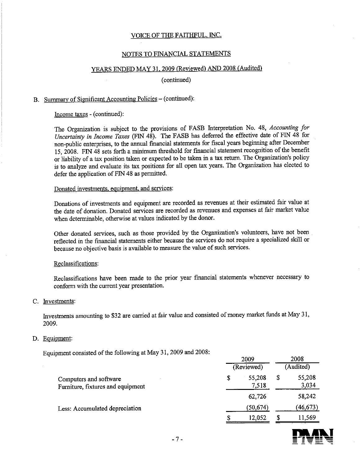#### NOTES TO FINANCIAL STATEMENTS

# YEARS ENDED MAY 31. 2009 (Reviewed) AND 2008 (Audited)

(continued)

# B. Summary of Significant Accounting Policies - (continued):

Income taxes - (continued):

The Organization is subject to the provisions of FASB Interpretation No. 48, Accounting for Uncertainty in Income Taxes (FIN 48). The FASB has deferred the effective date of FIN 48 for non-public enterprises, to the annual financial statements for fiscal years beginning after December 15, 2008. FIN 48 sets forth a minimum threshold for financial statement recognition of the benefit or liability of a tax position taken or expected to be taken in a tax return. The Organization's policy is to analyze and evaluate its tax positions for all open tax years. The Organization has elected to defer the application of FIN 48 as permitted.

#### Donated investments, equipment, and services:

Donations of investments and equipment are recorded as revenues at their estimated fair value at the date of donation. Donated services are recorded as revenues and expenses at fair market value when determinable, otherwise at values indicated by the donor.

Other donated services, such as those provided by the Organization's volunteers, have not been reflected in the financial statements either because the services do not require a specialized skill or because no objective basis is available to measure the value of such services.

#### Reclassifications:

Reclassifications have been made to the prior year financial statements whenever necessary to conform with the current year presentation.

#### C. Investments:

Investments amounting to \$32 are carried at fair value and consisted of money market funds at May 31, 2009.

#### D. Equipment:

Equipment consisted of the following at May 31, 2009 and 2008:

|                                                             | 2008<br>2009<br>(Audited)<br>(Reviewed)        |
|-------------------------------------------------------------|------------------------------------------------|
| Computers and software<br>Furniture, fixtures and equipment | 55,208<br>55,208<br>\$<br>\$<br>3,034<br>7,518 |
|                                                             | 58,242<br>62,726                               |
| Less: Accumulated depreciation                              | (46, 673)<br>(50, 674)                         |
|                                                             | 11,569<br>12,052                               |
| $-7-$                                                       |                                                |

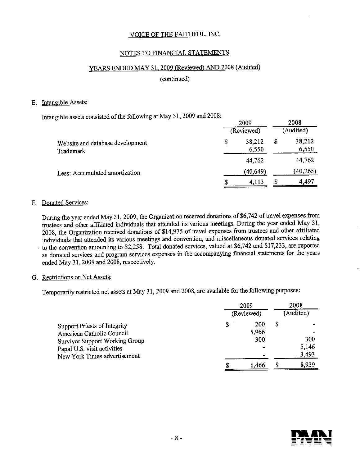#### NOTES TO FINANCIAL STATEMENTS

#### YEARS ENDED MAY 31. 2009 (Reviewed) AND 2008 (Audited)

(continued)

#### E. Intangible Assets:

Intangible assets consisted of the following at May 31, 2009 and 2008:

|                                               | 2009<br>(Reviewed)    |   |                 |
|-----------------------------------------------|-----------------------|---|-----------------|
| Website and database development<br>Trademark | \$<br>38,212<br>6,550 | S | 38,212<br>6,550 |
|                                               | 44,762                |   | 44,762          |
| Less: Accumulated amortization                | (40,649)              |   | (40, 265)       |
|                                               | \$<br>4,113           | S | 4,497           |

#### F. Donated Services:

During the year ended May 31, 2009, the Organization received donations of \$6,742 of travel expenses from trustees and other affiliated individuals that attended its various meetings. During the year ended May 31, 2008, the Organization received donations of \$14,975 of travel expenses from trustees and other affiliated individuals that attended its various meetings and convention, and miscellaneous donated services relating to the convention amounting to \$2,258. Total donated services, valued at \$6,742 and \$17,233, are reported as donated services and program services expenses in the accompanying financial statements for the years ended May 31, 2009 and 2008, respectively.

#### G. Restrictions on Net Assets:

Temporarily restricted net assets at May 31, 2009 and 2008, are available for the following purposes:

|                                                                      |    | 2009         | 2008                           |
|----------------------------------------------------------------------|----|--------------|--------------------------------|
|                                                                      |    | (Reviewed)   | (Audited)                      |
| Support Priests of Integrity<br>American Catholic Council            | \$ | 200<br>5,966 | \$<br>$\overline{\phantom{0}}$ |
| <b>Survivor Support Working Group</b><br>Papal U.S. visit activities |    | 300          | 300<br>5,146                   |
| New York Times advertisement                                         |    |              | 3,493                          |
|                                                                      | c  | 6.466        | 8,939                          |

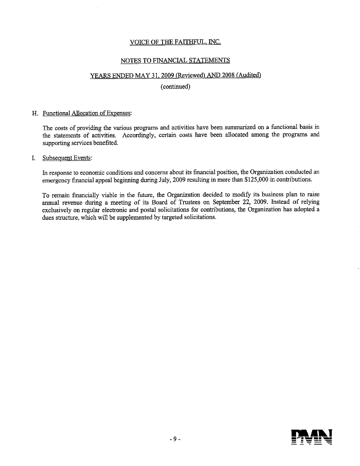# NOTES TO FINANCIAL STATEMENTS

# YEARS ENDED MAY 31. 2009 (Reviewed) AND 2008 (Audited)

#### (continued)

#### H. Functional Allocation of Expenses:

The costs of providing the various programs and activities have been summarized on a functional basis in the statements of activities. Accordingly, certain costs have been allocated among the programs and supporting services benefited.

#### Subsequent Events: I.

In response to economic conditions and concerns about its financial position, the Organization conducted an emergency financial appeal beginning during July, 2009 resulting in more than \$125,000 in contributions.

To remain financially viable in the future, the Organization decided to modify its business plan to raise annual revenue during a meeting of its Board of Trustees on September 22, 2009. Instead of relying exclusively on regular electronic and postal solicitations for contributions, the Organization has adopted a dues structure, which will be supplemented by targeted solicitations.

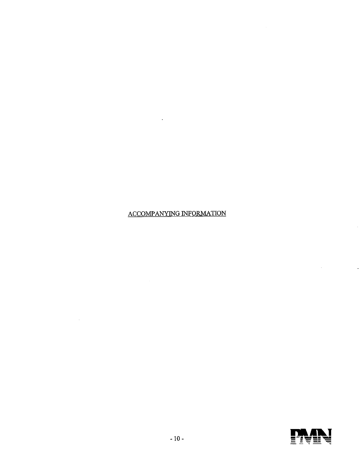# ACCOMPANYING INFORMATION

 $\mathcal{L}^{\text{max}}_{\text{max}}$  and  $\mathcal{L}^{\text{max}}_{\text{max}}$ 

 $\mathcal{L}^{\mathcal{L}}(\mathcal{L}^{\mathcal{L}})$  . The set of  $\mathcal{L}^{\mathcal{L}}(\mathcal{L}^{\mathcal{L}})$ 

 $\mathcal{L}(\mathcal{A})$  and  $\mathcal{L}(\mathcal{A})$ 



 $\hat{\boldsymbol{\cdot}$ 

 $\frac{1}{2}$ 

 $\mathcal{A}^{\text{max}}_{\text{max}}$  and  $\mathcal{A}^{\text{max}}_{\text{max}}$